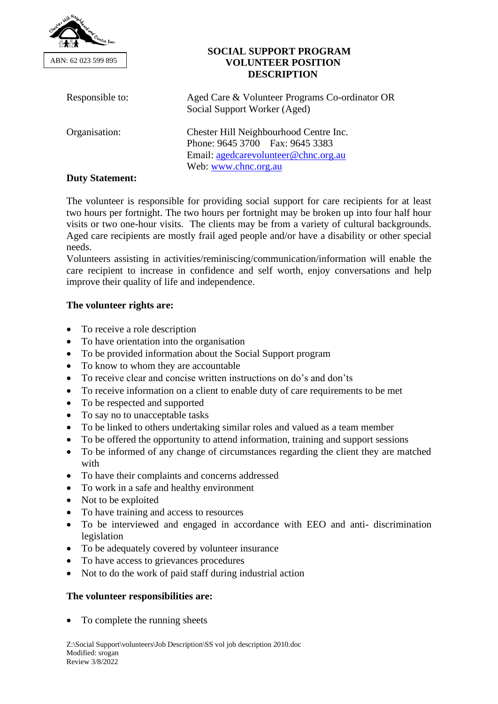

#### **SOCIAL SUPPORT PROGRAM VOLUNTEER POSITION DESCRIPTION**

| Responsible to:        | Aged Care & Volunteer Programs Co-ordinator OR<br>Social Support Worker (Aged)                                                            |
|------------------------|-------------------------------------------------------------------------------------------------------------------------------------------|
| Organisation:          | Chester Hill Neighbourhood Centre Inc.<br>Phone: 9645 3700 Fax: 9645 3383<br>Email: agedcarevolunteer@chnc.org.au<br>Web: www.chnc.org.au |
| <b>Duty Statement:</b> |                                                                                                                                           |

### The volunteer is responsible for providing social support for care recipients for at least two hours per fortnight. The two hours per fortnight may be broken up into four half hour visits or two one-hour visits. The clients may be from a variety of cultural backgrounds. Aged care recipients are mostly frail aged people and/or have a disability or other special needs.

Volunteers assisting in activities/reminiscing/communication/information will enable the care recipient to increase in confidence and self worth, enjoy conversations and help improve their quality of life and independence.

## **The volunteer rights are:**

- To receive a role description
- To have orientation into the organisation
- To be provided information about the Social Support program
- To know to whom they are accountable
- To receive clear and concise written instructions on do's and don'ts
- To receive information on a client to enable duty of care requirements to be met
- To be respected and supported
- To say no to unacceptable tasks
- To be linked to others undertaking similar roles and valued as a team member
- To be offered the opportunity to attend information, training and support sessions
- To be informed of any change of circumstances regarding the client they are matched with
- To have their complaints and concerns addressed
- To work in a safe and healthy environment
- Not to be exploited
- To have training and access to resources
- To be interviewed and engaged in accordance with EEO and anti- discrimination legislation
- To be adequately covered by volunteer insurance
- To have access to grievances procedures
- Not to do the work of paid staff during industrial action

# **The volunteer responsibilities are:**

• To complete the running sheets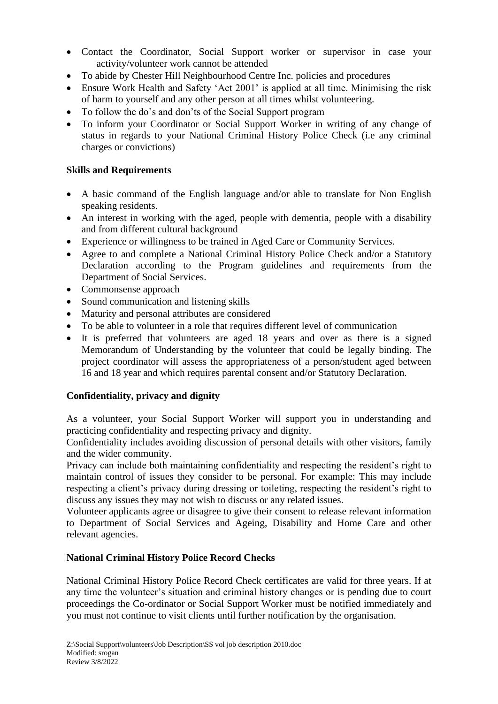- Contact the Coordinator, Social Support worker or supervisor in case your activity/volunteer work cannot be attended
- To abide by Chester Hill Neighbourhood Centre Inc. policies and procedures
- Ensure Work Health and Safety 'Act 2001' is applied at all time. Minimising the risk of harm to yourself and any other person at all times whilst volunteering.
- To follow the do's and don'ts of the Social Support program
- To inform your Coordinator or Social Support Worker in writing of any change of status in regards to your National Criminal History Police Check (i.e any criminal charges or convictions)

### **Skills and Requirements**

- A basic command of the English language and/or able to translate for Non English speaking residents.
- An interest in working with the aged, people with dementia, people with a disability and from different cultural background
- Experience or willingness to be trained in Aged Care or Community Services.
- Agree to and complete a National Criminal History Police Check and/or a Statutory Declaration according to the Program guidelines and requirements from the Department of Social Services.
- Commonsense approach
- Sound communication and listening skills
- Maturity and personal attributes are considered
- To be able to volunteer in a role that requires different level of communication
- It is preferred that volunteers are aged 18 years and over as there is a signed Memorandum of Understanding by the volunteer that could be legally binding. The project coordinator will assess the appropriateness of a person/student aged between 16 and 18 year and which requires parental consent and/or Statutory Declaration.

### **Confidentiality, privacy and dignity**

As a volunteer, your Social Support Worker will support you in understanding and practicing confidentiality and respecting privacy and dignity.

Confidentiality includes avoiding discussion of personal details with other visitors, family and the wider community.

Privacy can include both maintaining confidentiality and respecting the resident's right to maintain control of issues they consider to be personal. For example: This may include respecting a client's privacy during dressing or toileting, respecting the resident's right to discuss any issues they may not wish to discuss or any related issues.

Volunteer applicants agree or disagree to give their consent to release relevant information to Department of Social Services and Ageing, Disability and Home Care and other relevant agencies.

### **National Criminal History Police Record Checks**

National Criminal History Police Record Check certificates are valid for three years. If at any time the volunteer's situation and criminal history changes or is pending due to court proceedings the Co-ordinator or Social Support Worker must be notified immediately and you must not continue to visit clients until further notification by the organisation.